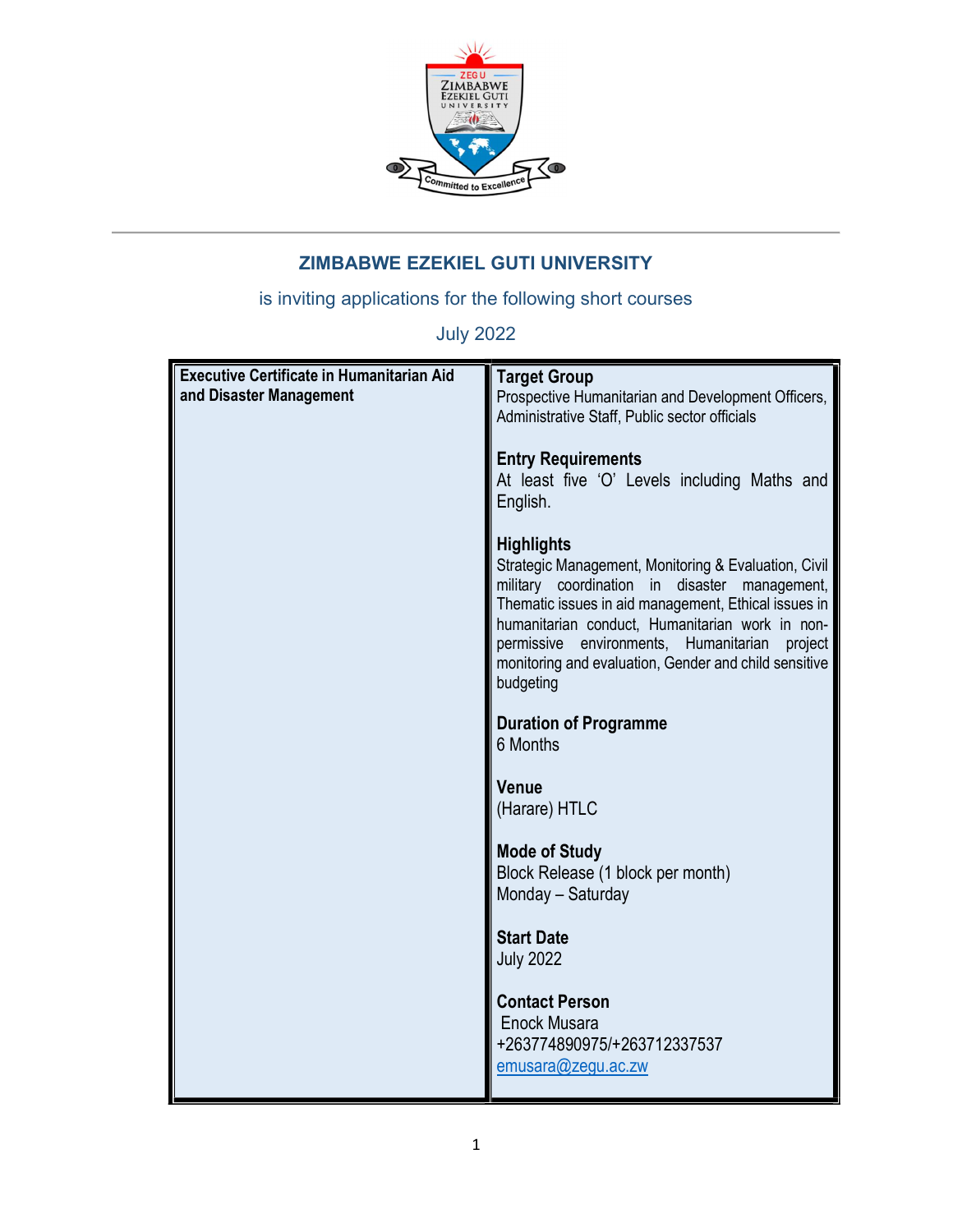

## ZIMBABWE EZEKIEL GUTI UNIVERSITY

## is inviting applications for the following short courses

## July 2022

| <b>Executive Certificate in Humanitarian Aid</b> | <b>Target Group</b>                                                                                 |
|--------------------------------------------------|-----------------------------------------------------------------------------------------------------|
| and Disaster Management                          | Prospective Humanitarian and Development Officers,                                                  |
|                                                  | Administrative Staff, Public sector officials                                                       |
|                                                  | <b>Entry Requirements</b>                                                                           |
|                                                  | At least five 'O' Levels including Maths and                                                        |
|                                                  | English.                                                                                            |
|                                                  |                                                                                                     |
|                                                  | <b>Highlights</b><br>Strategic Management, Monitoring & Evaluation, Civil                           |
|                                                  | military coordination in disaster<br>management,                                                    |
|                                                  | Thematic issues in aid management, Ethical issues in                                                |
|                                                  | humanitarian conduct, Humanitarian work in non-<br>permissive environments, Humanitarian<br>project |
|                                                  | monitoring and evaluation, Gender and child sensitive                                               |
|                                                  | budgeting                                                                                           |
|                                                  | <b>Duration of Programme</b>                                                                        |
|                                                  | 6 Months                                                                                            |
|                                                  |                                                                                                     |
|                                                  | Venue                                                                                               |
|                                                  | (Harare) HTLC                                                                                       |
|                                                  | <b>Mode of Study</b>                                                                                |
|                                                  | Block Release (1 block per month)                                                                   |
|                                                  | Monday - Saturday                                                                                   |
|                                                  | <b>Start Date</b>                                                                                   |
|                                                  | <b>July 2022</b>                                                                                    |
|                                                  |                                                                                                     |
|                                                  | <b>Contact Person</b>                                                                               |
|                                                  | Enock Musara                                                                                        |
|                                                  | +263774890975/+263712337537<br>emusara@zegu.ac.zw                                                   |
|                                                  |                                                                                                     |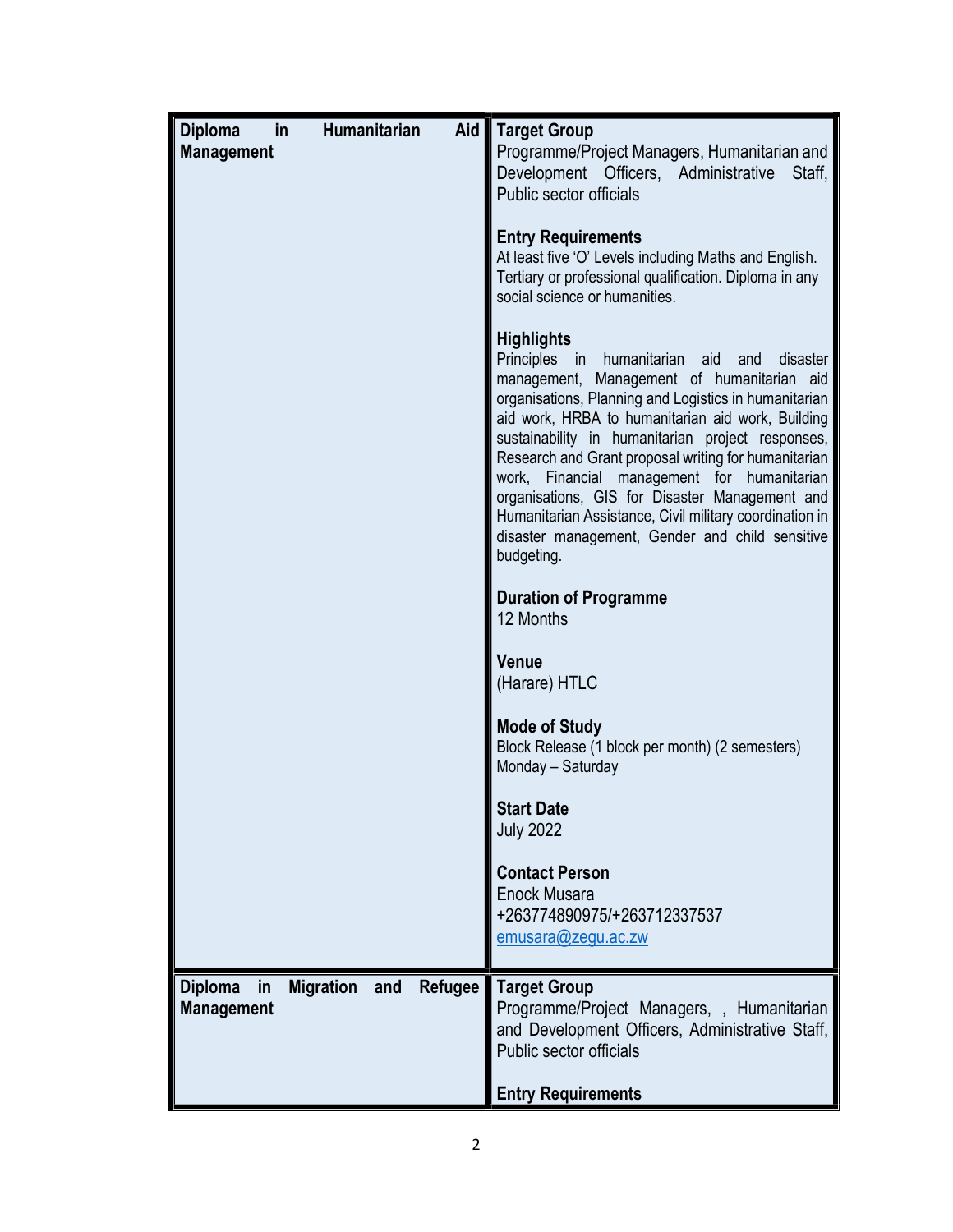| Humanitarian<br><b>Diploma</b><br>in<br><b>Management</b>            | Aid     | <b>Target Group</b><br>Programme/Project Managers, Humanitarian and<br>Development Officers, Administrative<br>Staff,<br>Public sector officials<br><b>Entry Requirements</b><br>At least five 'O' Levels including Maths and English.<br>Tertiary or professional qualification. Diploma in any<br>social science or humanities.<br><b>Highlights</b><br>Principles<br>humanitarian<br>aid<br>disaster<br>$\mathsf{in}$<br>and<br>management,<br>Management of humanitarian aid<br>organisations, Planning and Logistics in humanitarian<br>aid work, HRBA to humanitarian aid work, Building<br>sustainability in humanitarian project responses,<br>Research and Grant proposal writing for humanitarian<br>work, Financial management for humanitarian<br>organisations, GIS for Disaster Management and<br>Humanitarian Assistance, Civil military coordination in<br>disaster management, Gender and child sensitive<br>budgeting.<br><b>Duration of Programme</b><br>12 Months<br><b>Venue</b><br>(Harare) HTLC<br><b>Mode of Study</b><br>Block Release (1 block per month) (2 semesters)<br>Monday - Saturday<br><b>Start Date</b><br><b>July 2022</b><br><b>Contact Person</b><br><b>Enock Musara</b><br>+263774890975/+263712337537<br>emusara@zegu.ac.zw |
|----------------------------------------------------------------------|---------|----------------------------------------------------------------------------------------------------------------------------------------------------------------------------------------------------------------------------------------------------------------------------------------------------------------------------------------------------------------------------------------------------------------------------------------------------------------------------------------------------------------------------------------------------------------------------------------------------------------------------------------------------------------------------------------------------------------------------------------------------------------------------------------------------------------------------------------------------------------------------------------------------------------------------------------------------------------------------------------------------------------------------------------------------------------------------------------------------------------------------------------------------------------------------------------------------------------------------------------------------------------------|
|                                                                      |         |                                                                                                                                                                                                                                                                                                                                                                                                                                                                                                                                                                                                                                                                                                                                                                                                                                                                                                                                                                                                                                                                                                                                                                                                                                                                      |
| <b>Diploma</b><br><b>Migration</b><br>and<br>in<br><b>Management</b> | Refugee | <b>Target Group</b><br>Programme/Project Managers, , Humanitarian<br>and Development Officers, Administrative Staff,<br>Public sector officials<br><b>Entry Requirements</b>                                                                                                                                                                                                                                                                                                                                                                                                                                                                                                                                                                                                                                                                                                                                                                                                                                                                                                                                                                                                                                                                                         |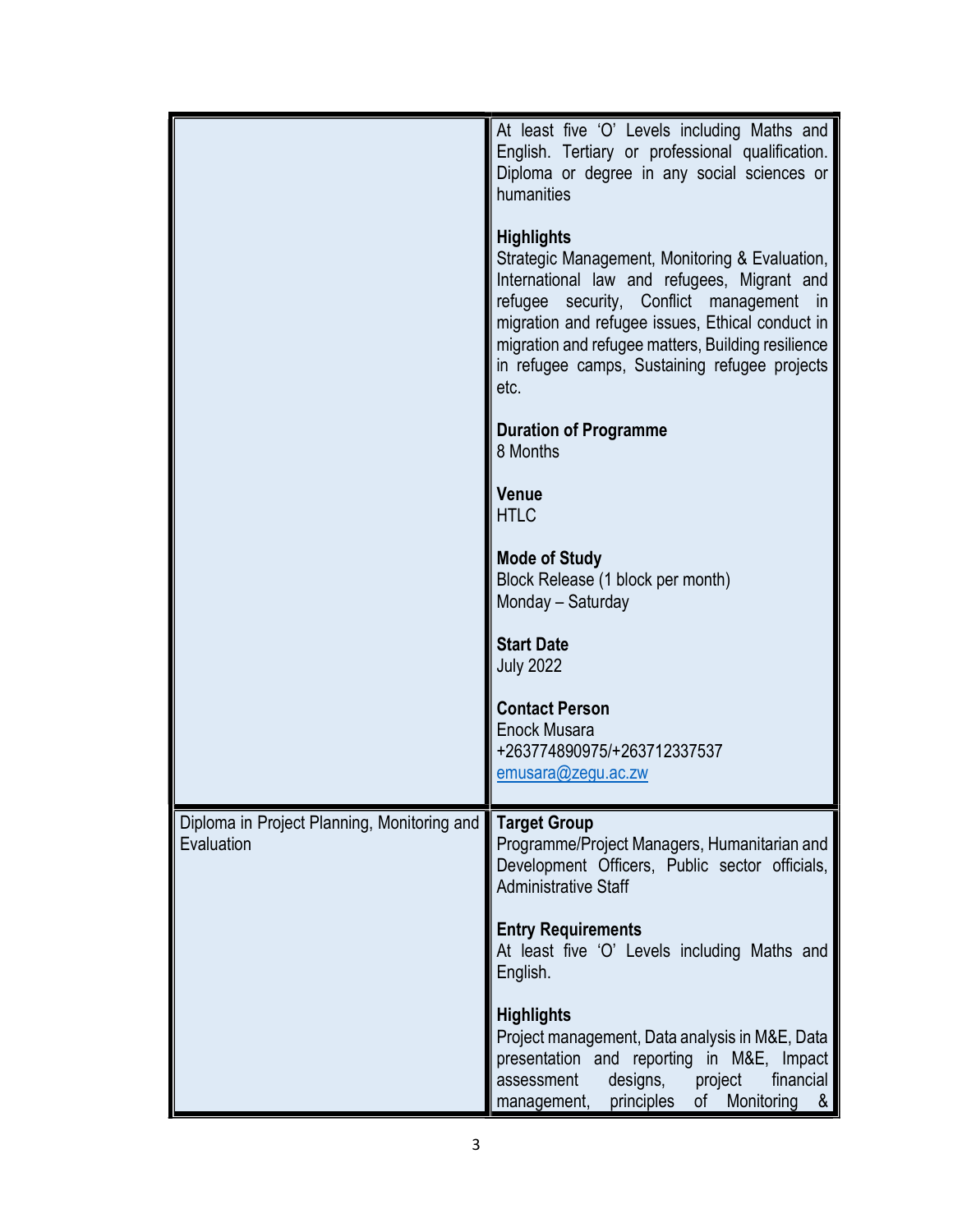|                                                           | At least five 'O' Levels including Maths and<br>English. Tertiary or professional qualification.<br>Diploma or degree in any social sciences or<br>humanities<br><b>Highlights</b><br>Strategic Management, Monitoring & Evaluation,<br>International law and refugees, Migrant and<br>refugee security, Conflict management<br><sub>in</sub><br>migration and refugee issues, Ethical conduct in<br>migration and refugee matters, Building resilience<br>in refugee camps, Sustaining refugee projects<br>etc. |
|-----------------------------------------------------------|------------------------------------------------------------------------------------------------------------------------------------------------------------------------------------------------------------------------------------------------------------------------------------------------------------------------------------------------------------------------------------------------------------------------------------------------------------------------------------------------------------------|
|                                                           | <b>Duration of Programme</b><br>8 Months                                                                                                                                                                                                                                                                                                                                                                                                                                                                         |
|                                                           | Venue<br><b>HTLC</b>                                                                                                                                                                                                                                                                                                                                                                                                                                                                                             |
|                                                           | <b>Mode of Study</b><br>Block Release (1 block per month)<br>Monday - Saturday                                                                                                                                                                                                                                                                                                                                                                                                                                   |
|                                                           | <b>Start Date</b><br><b>July 2022</b>                                                                                                                                                                                                                                                                                                                                                                                                                                                                            |
|                                                           | <b>Contact Person</b><br><b>Enock Musara</b><br>+263774890975/+263712337537<br>emusara@zequ.aczw                                                                                                                                                                                                                                                                                                                                                                                                                 |
| Diploma in Project Planning, Monitoring and<br>Evaluation | <b>Target Group</b><br>Programme/Project Managers, Humanitarian and<br>Development Officers, Public sector officials,<br><b>Administrative Staff</b>                                                                                                                                                                                                                                                                                                                                                             |
|                                                           | <b>Entry Requirements</b><br>At least five 'O' Levels including Maths and<br>English.                                                                                                                                                                                                                                                                                                                                                                                                                            |
|                                                           | <b>Highlights</b><br>Project management, Data analysis in M&E, Data<br>presentation and reporting in M&E, Impact<br>assessment<br>designs,<br>project<br>financial<br>principles<br>of<br>Monitoring<br>management,<br>&                                                                                                                                                                                                                                                                                         |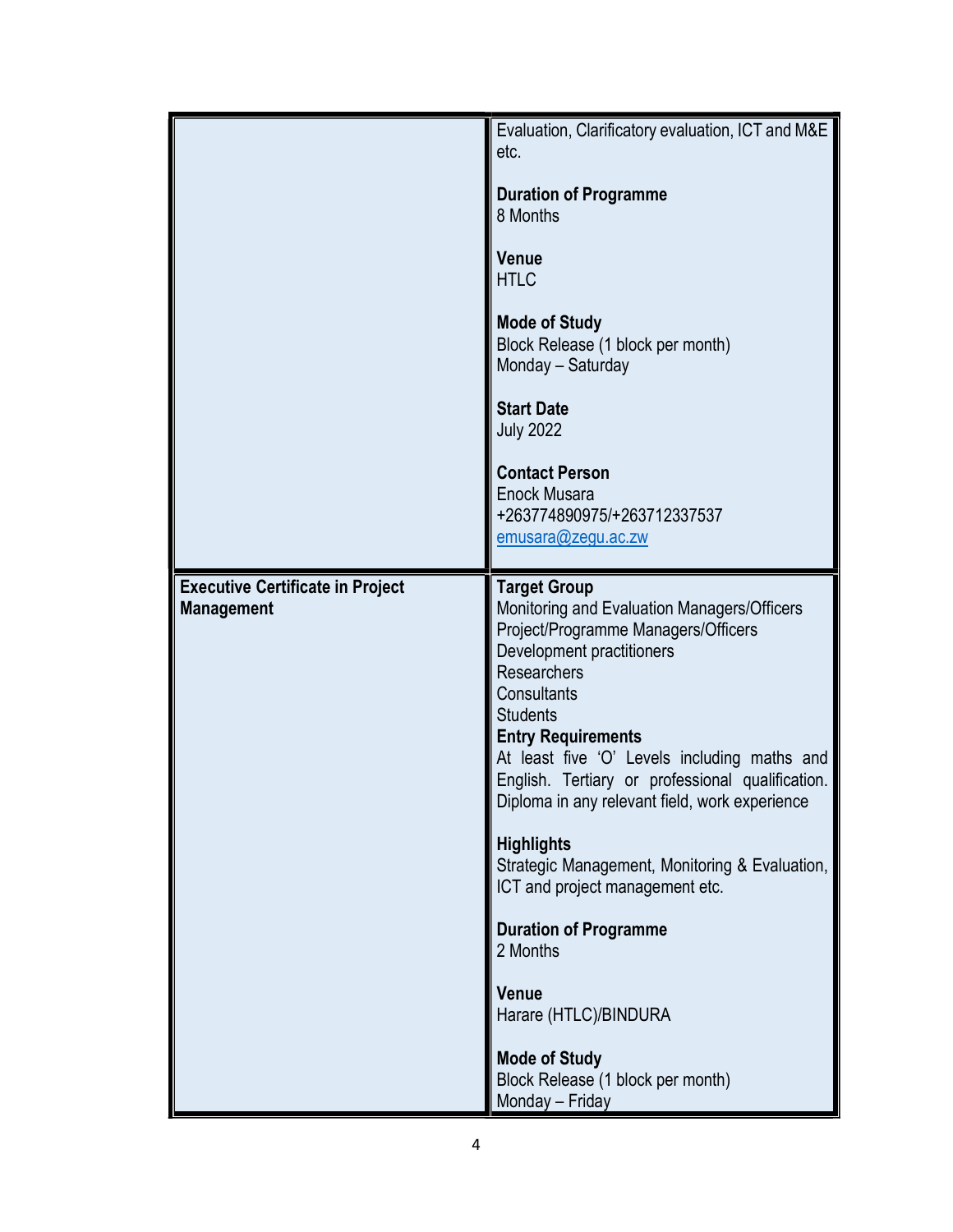|                                                              | Evaluation, Clarificatory evaluation, ICT and M&E<br>etc.<br><b>Duration of Programme</b><br>8 Months<br>Venue<br><b>HTLC</b><br><b>Mode of Study</b><br>Block Release (1 block per month)<br>Monday - Saturday<br><b>Start Date</b><br><b>July 2022</b><br><b>Contact Person</b><br><b>Enock Musara</b><br>+263774890975/+263712337537<br>emusara@zegu.ac.zw                                                                                                                                                                                                                                                                                      |
|--------------------------------------------------------------|----------------------------------------------------------------------------------------------------------------------------------------------------------------------------------------------------------------------------------------------------------------------------------------------------------------------------------------------------------------------------------------------------------------------------------------------------------------------------------------------------------------------------------------------------------------------------------------------------------------------------------------------------|
| <b>Executive Certificate in Project</b><br><b>Management</b> | <b>Target Group</b><br>Monitoring and Evaluation Managers/Officers<br>Project/Programme Managers/Officers<br>Development practitioners<br>Researchers<br>Consultants<br><b>Students</b><br><b>Entry Requirements</b><br>At least five 'O' Levels including maths and<br>English. Tertiary or professional qualification.<br>Diploma in any relevant field, work experience<br><b>Highlights</b><br>Strategic Management, Monitoring & Evaluation,<br>ICT and project management etc.<br><b>Duration of Programme</b><br>2 Months<br>Venue<br>Harare (HTLC)/BINDURA<br><b>Mode of Study</b><br>Block Release (1 block per month)<br>Monday - Friday |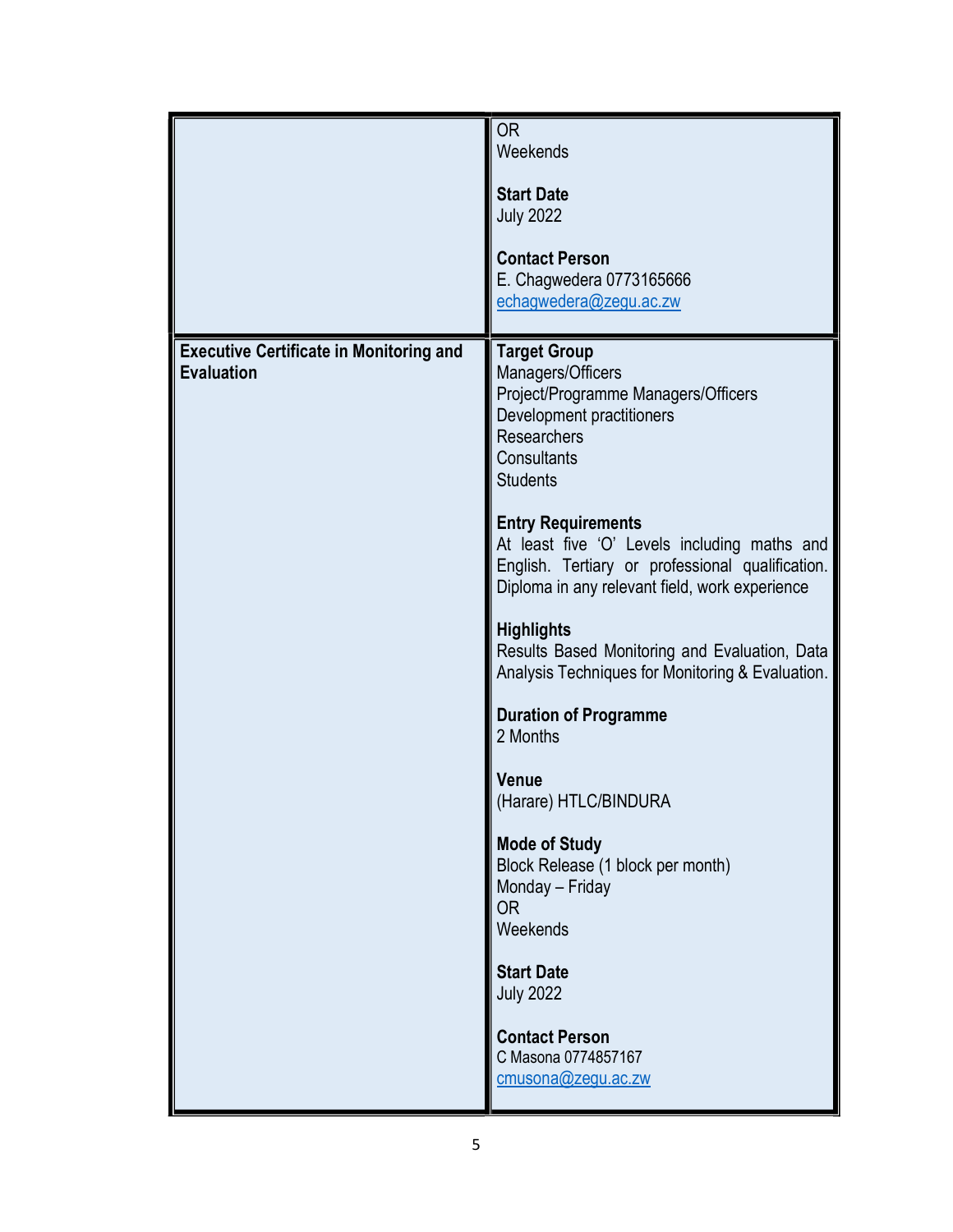|                                                                     | <b>OR</b><br>Weekends<br><b>Start Date</b><br><b>July 2022</b><br><b>Contact Person</b><br>E. Chagwedera 0773165666<br>echagwedera@zegu.ac.zw                                                                                                                                                                                                                                                                                                                                                                                                                                                                                                                                                                                                                            |
|---------------------------------------------------------------------|--------------------------------------------------------------------------------------------------------------------------------------------------------------------------------------------------------------------------------------------------------------------------------------------------------------------------------------------------------------------------------------------------------------------------------------------------------------------------------------------------------------------------------------------------------------------------------------------------------------------------------------------------------------------------------------------------------------------------------------------------------------------------|
| <b>Executive Certificate in Monitoring and</b><br><b>Evaluation</b> | <b>Target Group</b><br>Managers/Officers<br>Project/Programme Managers/Officers<br>Development practitioners<br>Researchers<br>Consultants<br><b>Students</b><br><b>Entry Requirements</b><br>At least five 'O' Levels including maths and<br>English. Tertiary or professional qualification.<br>Diploma in any relevant field, work experience<br><b>Highlights</b><br>Results Based Monitoring and Evaluation, Data<br>Analysis Techniques for Monitoring & Evaluation.<br><b>Duration of Programme</b><br>2 Months<br>Venue<br>(Harare) HTLC/BINDURA<br><b>Mode of Study</b><br>Block Release (1 block per month)<br>Monday - Friday<br>0R<br>Weekends<br><b>Start Date</b><br><b>July 2022</b><br><b>Contact Person</b><br>C Masona 0774857167<br>cmusona@zegu.aczw |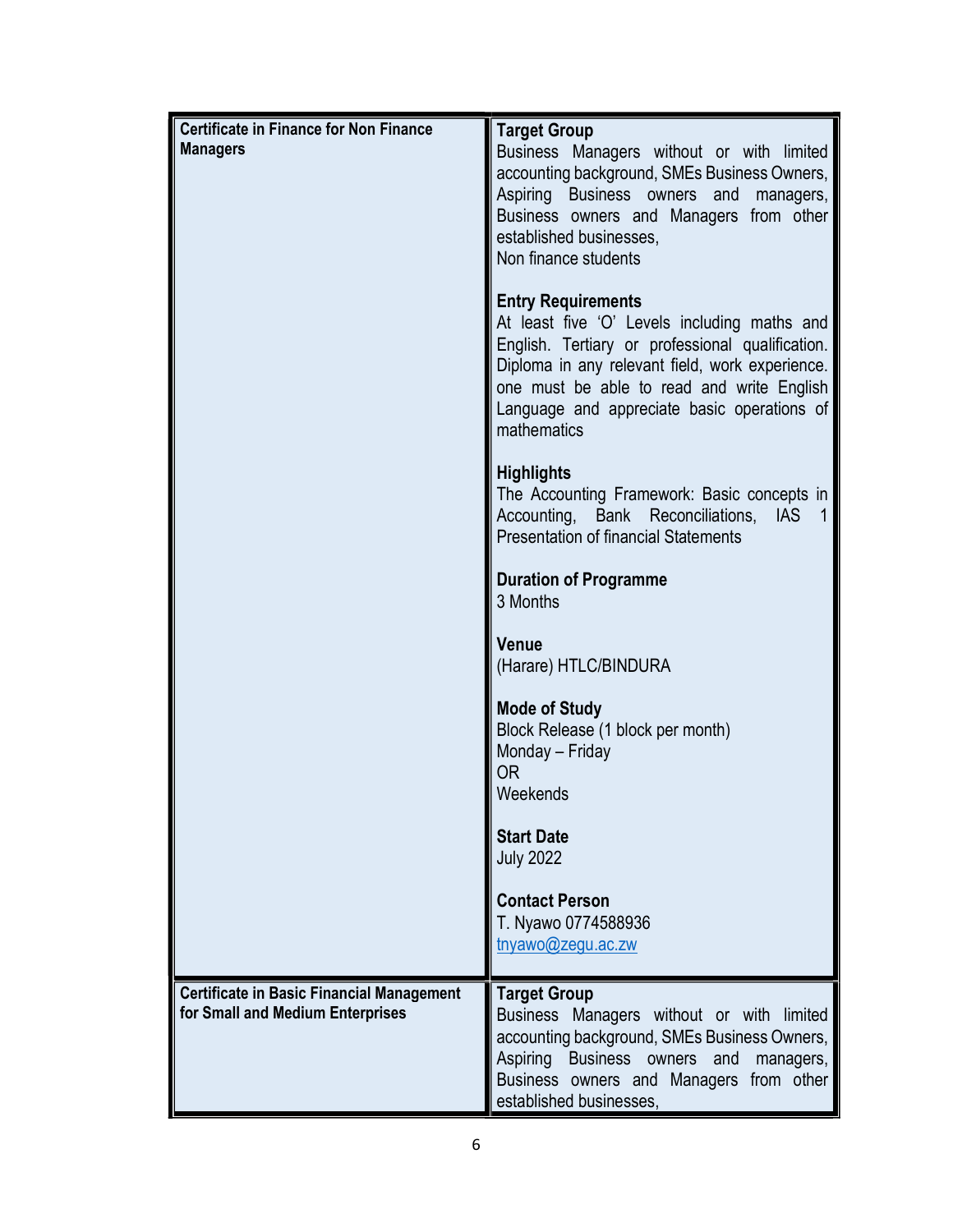| <b>Certificate in Finance for Non Finance</b><br><b>Managers</b>                     | <b>Target Group</b><br>Business Managers without or with limited<br>accounting background, SMEs Business Owners,<br>Aspiring Business owners and managers,<br>Business owners and Managers from other<br>established businesses,<br>Non finance students<br><b>Entry Requirements</b><br>At least five 'O' Levels including maths and |
|--------------------------------------------------------------------------------------|---------------------------------------------------------------------------------------------------------------------------------------------------------------------------------------------------------------------------------------------------------------------------------------------------------------------------------------|
|                                                                                      | English. Tertiary or professional qualification.<br>Diploma in any relevant field, work experience.<br>one must be able to read and write English<br>Language and appreciate basic operations of<br>mathematics                                                                                                                       |
|                                                                                      | <b>Highlights</b><br>The Accounting Framework: Basic concepts in<br>Accounting, Bank Reconciliations,<br><b>IAS</b><br>$\mathbf{1}$<br><b>Presentation of financial Statements</b>                                                                                                                                                    |
|                                                                                      | <b>Duration of Programme</b><br>3 Months                                                                                                                                                                                                                                                                                              |
|                                                                                      | Venue<br>(Harare) HTLC/BINDURA                                                                                                                                                                                                                                                                                                        |
|                                                                                      | <b>Mode of Study</b><br>Block Release (1 block per month)<br>Monday - Friday<br><b>OR</b><br>Weekends                                                                                                                                                                                                                                 |
|                                                                                      | <b>Start Date</b><br><b>July 2022</b>                                                                                                                                                                                                                                                                                                 |
|                                                                                      | <b>Contact Person</b><br>T. Nyawo 0774588936<br>tnyawo@zegu.ac.zw                                                                                                                                                                                                                                                                     |
| <b>Certificate in Basic Financial Management</b><br>for Small and Medium Enterprises | <b>Target Group</b><br>Business Managers without or with limited<br>accounting background, SMEs Business Owners,<br>Aspiring Business<br>owners<br>and<br>managers,<br>Business owners and Managers from other<br>established businesses,                                                                                             |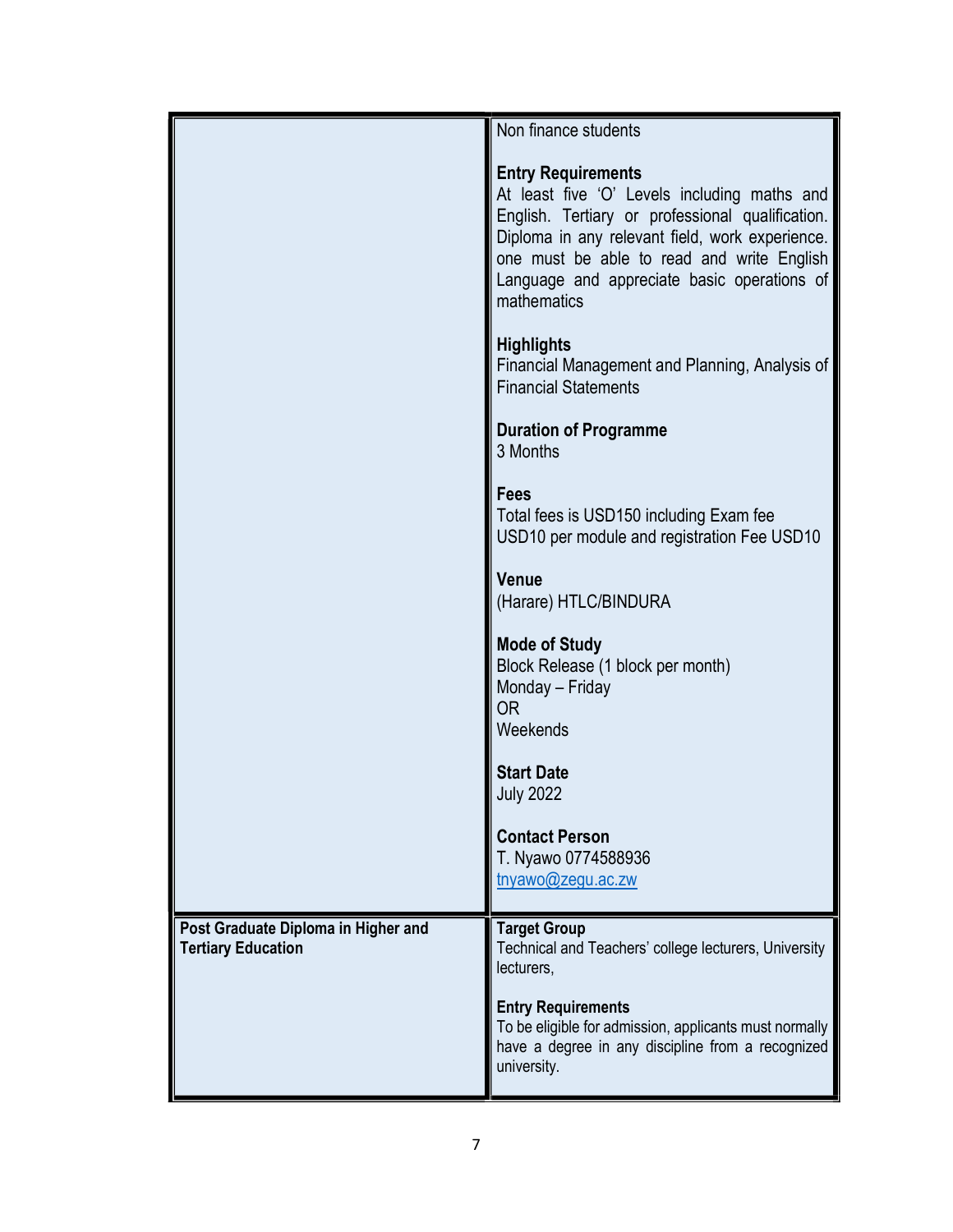|                                                                  | Non finance students                                                                                                                                                                                                                                                                         |
|------------------------------------------------------------------|----------------------------------------------------------------------------------------------------------------------------------------------------------------------------------------------------------------------------------------------------------------------------------------------|
|                                                                  | <b>Entry Requirements</b><br>At least five 'O' Levels including maths and<br>English. Tertiary or professional qualification.<br>Diploma in any relevant field, work experience.<br>one must be able to read and write English<br>Language and appreciate basic operations of<br>mathematics |
|                                                                  | <b>Highlights</b><br>Financial Management and Planning, Analysis of<br><b>Financial Statements</b>                                                                                                                                                                                           |
|                                                                  | <b>Duration of Programme</b><br>3 Months                                                                                                                                                                                                                                                     |
|                                                                  | <b>Fees</b><br>Total fees is USD150 including Exam fee<br>USD10 per module and registration Fee USD10                                                                                                                                                                                        |
|                                                                  | <b>Venue</b><br>(Harare) HTLC/BINDURA                                                                                                                                                                                                                                                        |
|                                                                  | <b>Mode of Study</b><br>Block Release (1 block per month)<br>Monday - Friday<br>0 <sub>R</sub><br>Weekends                                                                                                                                                                                   |
|                                                                  | <b>Start Date</b><br><b>July 2022</b>                                                                                                                                                                                                                                                        |
|                                                                  | <b>Contact Person</b><br>T. Nyawo 0774588936<br>tnyawo@zegu.ac.zw                                                                                                                                                                                                                            |
| Post Graduate Diploma in Higher and<br><b>Tertiary Education</b> | <b>Target Group</b><br>Technical and Teachers' college lecturers, University<br>lecturers,                                                                                                                                                                                                   |
|                                                                  | <b>Entry Requirements</b><br>To be eligible for admission, applicants must normally<br>have a degree in any discipline from a recognized<br>university.                                                                                                                                      |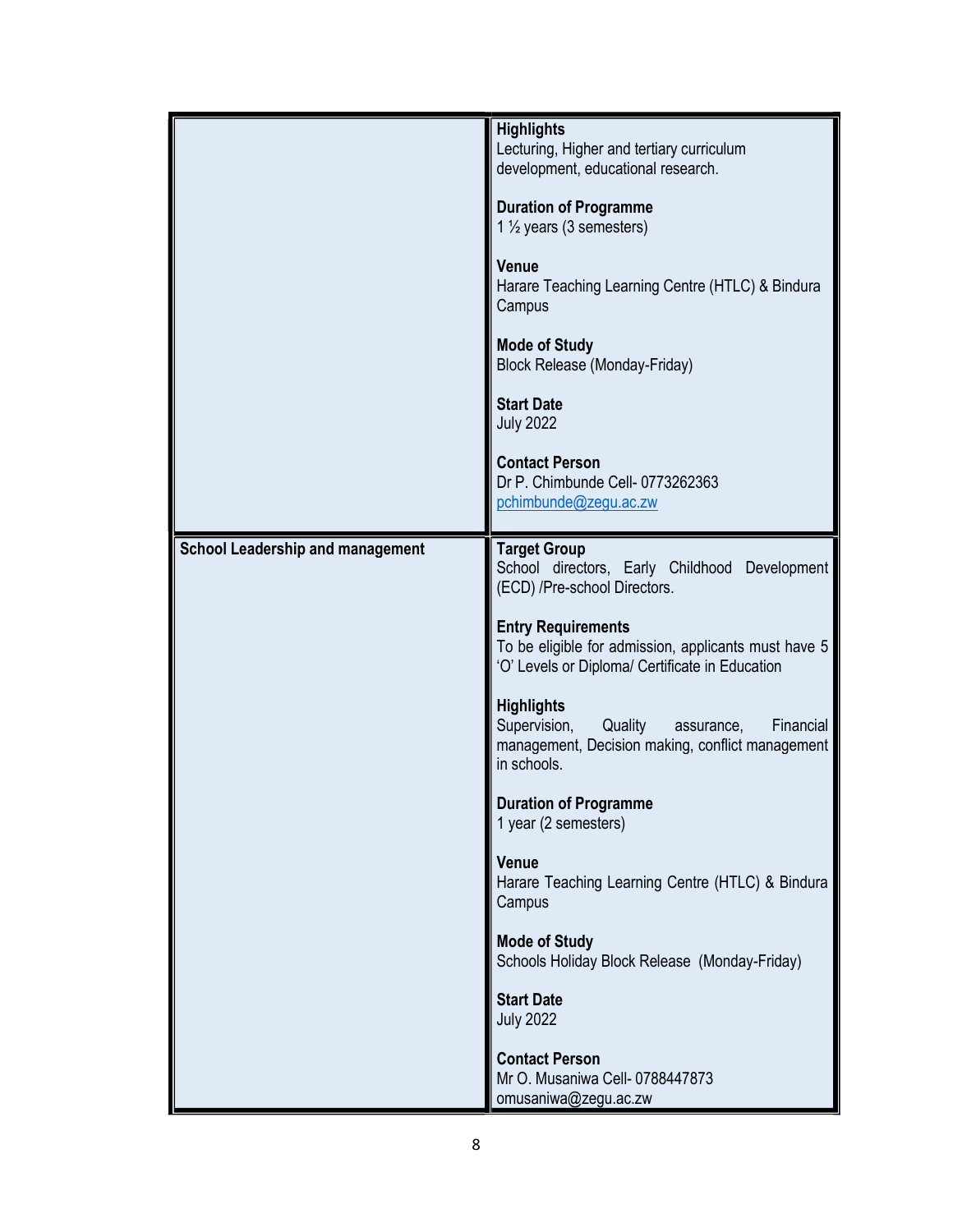|                                         | <b>Highlights</b><br>Lecturing, Higher and tertiary curriculum<br>development, educational research.                                    |
|-----------------------------------------|-----------------------------------------------------------------------------------------------------------------------------------------|
|                                         | <b>Duration of Programme</b><br>1 $\frac{1}{2}$ years (3 semesters)                                                                     |
|                                         | <b>Venue</b><br>Harare Teaching Learning Centre (HTLC) & Bindura<br>Campus                                                              |
|                                         | <b>Mode of Study</b><br>Block Release (Monday-Friday)                                                                                   |
|                                         | <b>Start Date</b><br><b>July 2022</b>                                                                                                   |
|                                         | <b>Contact Person</b><br>Dr P. Chimbunde Cell- 0773262363<br>pchimbunde@zegu.ac.zw                                                      |
| <b>School Leadership and management</b> | <b>Target Group</b><br>School directors, Early Childhood Development<br>(ECD) /Pre-school Directors.                                    |
|                                         | <b>Entry Requirements</b><br>To be eligible for admission, applicants must have 5<br>'O' Levels or Diploma/ Certificate in Education    |
|                                         | <b>Highlights</b><br>Supervision, Quality<br>Financial<br>assurance,<br>management, Decision making, conflict management<br>in schools. |
|                                         | <b>Duration of Programme</b><br>1 year (2 semesters)                                                                                    |
|                                         | Venue<br>Harare Teaching Learning Centre (HTLC) & Bindura<br>Campus                                                                     |
|                                         | <b>Mode of Study</b><br>Schools Holiday Block Release (Monday-Friday)                                                                   |
|                                         | <b>Start Date</b><br><b>July 2022</b>                                                                                                   |
|                                         | <b>Contact Person</b><br>Mr O. Musaniwa Cell- 0788447873<br>omusaniwa@zegu.ac.zw                                                        |